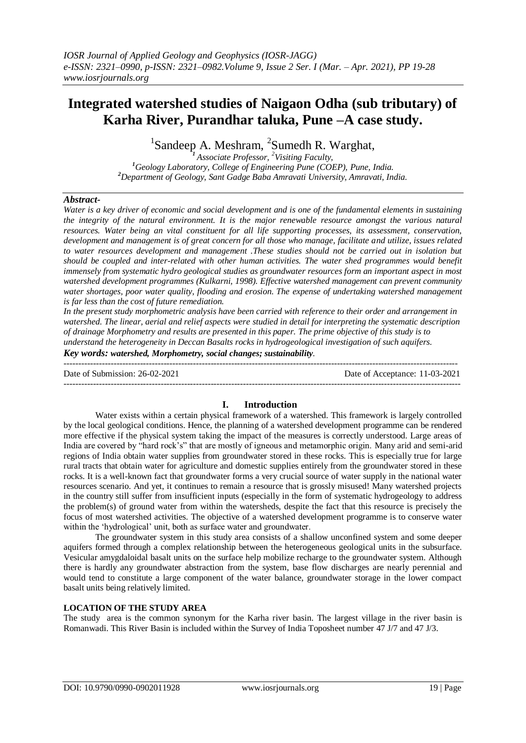# **Integrated watershed studies of Naigaon Odha (sub tributary) of Karha River, Purandhar taluka, Pune –A case study.**

 ${}^{1}$ Sandeep A. Meshram,  ${}^{2}$ Sumedh R. Warghat,

*<sup>1</sup>Associate Professor, <sup>2</sup>Visiting Faculty, <sup>1</sup>Geology Laboratory, College of Engineering Pune (COEP), Pune, India. <sup>2</sup>Department of Geology, Sant Gadge Baba Amravati University, Amravati, India.*

### *Abstract-*

*Water is a key driver of economic and social development and is one of the fundamental elements in sustaining the integrity of the natural environment. It is the major renewable resource amongst the various natural resources. Water being an vital constituent for all life supporting processes, its assessment, conservation, development and management is of great concern for all those who manage, facilitate and utilize, issues related to water resources development and management .These studies should not be carried out in isolation but should be coupled and inter-related with other human activities. The water shed programmes would benefit immensely from systematic hydro geological studies as groundwater resources form an important aspect in most watershed development programmes (Kulkarni, 1998). Effective watershed management can prevent community water shortages, poor water quality, flooding and erosion. The expense of undertaking watershed management is far less than the cost of future remediation.* 

*In the present study morphometric analysis have been carried with reference to their order and arrangement in watershed. The linear, aerial and relief aspects were studied in detail for interpreting the systematic description of drainage Morphometry and results are presented in this paper. The prime objective of this study is to understand the heterogeneity in Deccan Basalts rocks in hydrogeological investigation of such aquifers.*

*Key words: watershed, Morphometry, social changes; sustainability.*

-------------------------------------------------------------------------------------------------------------------------------------- Date of Submission: 26-02-2021 Date of Acceptance: 11-03-2021

---------------------------------------------------------------------------------------------------------------------------------------

## **I. Introduction**

Water exists within a certain physical framework of a watershed. This framework is largely controlled by the local geological conditions. Hence, the planning of a watershed development programme can be rendered more effective if the physical system taking the impact of the measures is correctly understood. Large areas of India are covered by "hard rock's" that are mostly of igneous and metamorphic origin. Many arid and semi-arid regions of India obtain water supplies from groundwater stored in these rocks. This is especially true for large rural tracts that obtain water for agriculture and domestic supplies entirely from the groundwater stored in these rocks. It is a well-known fact that groundwater forms a very crucial source of water supply in the national water resources scenario. And yet, it continues to remain a resource that is grossly misused! Many watershed projects in the country still suffer from insufficient inputs (especially in the form of systematic hydrogeology to address the problem(s) of ground water from within the watersheds, despite the fact that this resource is precisely the focus of most watershed activities. The objective of a watershed development programme is to conserve water within the 'hydrological' unit, both as surface water and groundwater.

The groundwater system in this study area consists of a shallow unconfined system and some deeper aquifers formed through a complex relationship between the heterogeneous geological units in the subsurface. Vesicular amygdaloidal basalt units on the surface help mobilize recharge to the groundwater system. Although there is hardly any groundwater abstraction from the system, base flow discharges are nearly perennial and would tend to constitute a large component of the water balance, groundwater storage in the lower compact basalt units being relatively limited.

#### **LOCATION OF THE STUDY AREA**

The study area is the common synonym for the Karha river basin. The largest village in the river basin is Romanwadi. This River Basin is included within the Survey of India Toposheet number 47 J/7 and 47 J/3.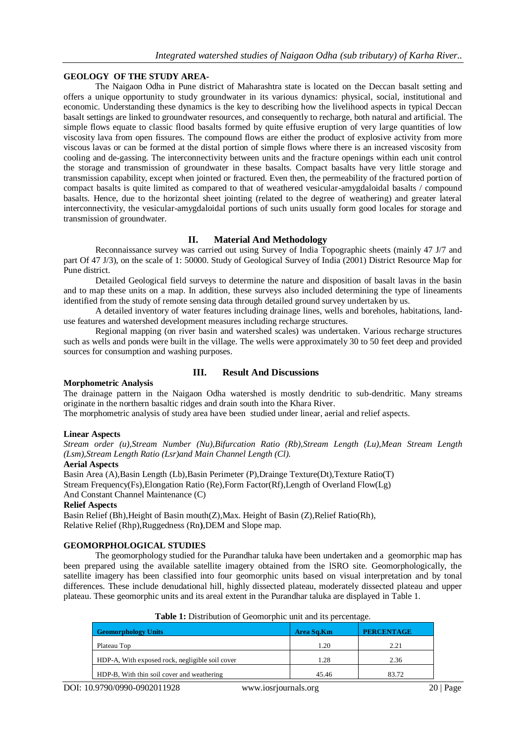## **GEOLOGY OF THE STUDY AREA-**

The Naigaon Odha in Pune district of Maharashtra state is located on the Deccan basalt setting and offers a unique opportunity to study groundwater in its various dynamics: physical, social, institutional and economic. Understanding these dynamics is the key to describing how the livelihood aspects in typical Deccan basalt settings are linked to groundwater resources, and consequently to recharge, both natural and artificial. The simple flows equate to classic flood basalts formed by quite effusive eruption of very large quantities of low viscosity lava from open fissures. The compound flows are either the product of explosive activity from more viscous lavas or can be formed at the distal portion of simple flows where there is an increased viscosity from cooling and de-gassing. The interconnectivity between units and the fracture openings within each unit control the storage and transmission of groundwater in these basalts. Compact basalts have very little storage and transmission capability, except when jointed or fractured. Even then, the permeability of the fractured portion of compact basalts is quite limited as compared to that of weathered vesicular-amygdaloidal basalts / compound basalts*.* Hence, due to the horizontal sheet jointing (related to the degree of weathering) and greater lateral interconnectivity, the vesicular-amygdaloidal portions of such units usually form good locales for storage and transmission of groundwater.

## **II. Material And Methodology**

Reconnaissance survey was carried out using Survey of India Topographic sheets (mainly 47 J/7 and part Of 47 J/3), on the scale of 1: 50000. Study of Geological Survey of India (2001) District Resource Map for Pune district.

Detailed Geological field surveys to determine the nature and disposition of basalt lavas in the basin and to map these units on a map. In addition, these surveys also included determining the type of lineaments identified from the study of remote sensing data through detailed ground survey undertaken by us.

A detailed inventory of water features including drainage lines, wells and boreholes, habitations, landuse features and watershed development measures including recharge structures.

Regional mapping (on river basin and watershed scales) was undertaken. Various recharge structures such as wells and ponds were built in the village. The wells were approximately 30 to 50 feet deep and provided sources for consumption and washing purposes.

## **III. Result And Discussions**

#### **Morphometric Analysis**

The drainage pattern in the Naigaon Odha watershed is mostly dendritic to sub-dendritic. Many streams originate in the northern basaltic ridges and drain south into the Khara River.

The morphometric analysis of study area have been studied under linear, aerial and relief aspects.

#### **Linear Aspects**

*Stream order (u),Stream Number (Nu),Bifurcation Ratio (Rb),Stream Length (Lu),Mean Stream Length (Lsm),Stream Length Ratio (Lsr)and Main Channel Length (Cl).*

#### **Aerial Aspects**

Basin Area (A),Basin Length (Lb),Basin Perimeter (P),Drainge Texture(Dt),Texture Ratio(T) Stream Frequency(Fs),Elongation Ratio (Re),Form Factor(Rf),Length of Overland Flow(Lg) And Constant Channel Maintenance (C)

#### **Relief Aspects**

Basin Relief (Bh),Height of Basin mouth(Z),Max. Height of Basin (Z),Relief Ratio(Rh), Relative Relief (Rhp),Ruggedness (Rn**)**,DEM and Slope map.

#### **GEOMORPHOLOGICAL STUDIES**

The geomorphology studied for the Purandhar taluka have been undertaken and a geomorphic map has been prepared using the available satellite imagery obtained from the lSRO site. Geomorphologically, the satellite imagery has been classified into four geomorphic units based on visual interpretation and by tonal differences. These include denudational hill, highly dissected plateau, moderately dissected plateau and upper plateau. These geomorphic units and its areal extent in the Purandhar taluka are displayed in Table 1.

| <b>Geomorphology Units</b>                      | Area Sq.Km | <b>PERCENTAGE</b> |
|-------------------------------------------------|------------|-------------------|
| Plateau Top                                     | 1.20       | 2.21              |
| HDP-A, With exposed rock, negligible soil cover | 1.28       | 2.36              |
| HDP-B, With thin soil cover and weathering      | 45.46      | 83.72             |

**Table 1:** Distribution of Geomorphic unit and its percentage.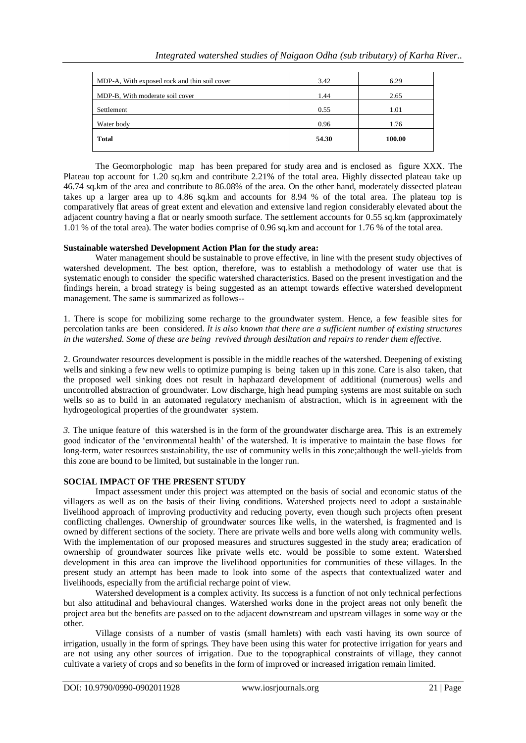| MDP-A, With exposed rock and thin soil cover | 3.42  | 6.29   |
|----------------------------------------------|-------|--------|
| MDP-B, With moderate soil cover              | 1.44  | 2.65   |
| Settlement                                   | 0.55  | 1.01   |
| Water body                                   | 0.96  | 1.76   |
| <b>Total</b>                                 | 54.30 | 100.00 |
|                                              |       |        |

The Geomorphologic map has been prepared for study area and is enclosed as figure XXX. The Plateau top account for 1.20 sq.km and contribute 2.21% of the total area. Highly dissected plateau take up 46.74 sq.km of the area and contribute to 86.08% of the area. On the other hand, moderately dissected plateau takes up a larger area up to 4.86 sq.km and accounts for 8.94 % of the total area. The plateau top is comparatively flat areas of great extent and elevation and extensive land region considerably elevated about the adjacent country having a flat or nearly smooth surface. The settlement accounts for 0.55 sq.km (approximately 1.01 % of the total area). The water bodies comprise of 0.96 sq.km and account for 1.76 % of the total area.

## **Sustainable watershed Development Action Plan for the study area:**

Water management should be sustainable to prove effective, in line with the present study objectives of watershed development. The best option, therefore, was to establish a methodology of water use that is systematic enough to consider the specific watershed characteristics. Based on the present investigation and the findings herein, a broad strategy is being suggested as an attempt towards effective watershed development management. The same is summarized as follows--

1. There is scope for mobilizing some recharge to the groundwater system. Hence, a few feasible sites for percolation tanks are been considered. *It is also known that there are a sufficient number of existing structures in the watershed. Some of these are being revived through desiltation and repairs to render them effective.*

2. Groundwater resources development is possible in the middle reaches of the watershed. Deepening of existing wells and sinking a few new wells to optimize pumping is being taken up in this zone. Care is also taken, that the proposed well sinking does not result in haphazard development of additional (numerous) wells and uncontrolled abstraction of groundwater. Low discharge, high head pumping systems are most suitable on such wells so as to build in an automated regulatory mechanism of abstraction, which is in agreement with the hydrogeological properties of the groundwater system.

*3.* The unique feature of this watershed is in the form of the groundwater discharge area. This is an extremely good indicator of the 'environmental health' of the watershed. It is imperative to maintain the base flows for long-term, water resources sustainability, the use of community wells in this zone;although the well-yields from this zone are bound to be limited, but sustainable in the longer run.

## **SOCIAL IMPACT OF THE PRESENT STUDY**

Impact assessment under this project was attempted on the basis of social and economic status of the villagers as well as on the basis of their living conditions. Watershed projects need to adopt a sustainable livelihood approach of improving productivity and reducing poverty, even though such projects often present conflicting challenges. Ownership of groundwater sources like wells, in the watershed, is fragmented and is owned by different sections of the society. There are private wells and bore wells along with community wells. With the implementation of our proposed measures and structures suggested in the study area; eradication of ownership of groundwater sources like private wells etc. would be possible to some extent. Watershed development in this area can improve the livelihood opportunities for communities of these villages. In the present study an attempt has been made to look into some of the aspects that contextualized water and livelihoods, especially from the artificial recharge point of view.

Watershed development is a complex activity. Its success is a function of not only technical perfections but also attitudinal and behavioural changes. Watershed works done in the project areas not only benefit the project area but the benefits are passed on to the adjacent downstream and upstream villages in some way or the other.

Village consists of a number of vastis (small hamlets) with each vasti having its own source of irrigation, usually in the form of springs. They have been using this water for protective irrigation for years and are not using any other sources of irrigation. Due to the topographical constraints of village, they cannot cultivate a variety of crops and so benefits in the form of improved or increased irrigation remain limited.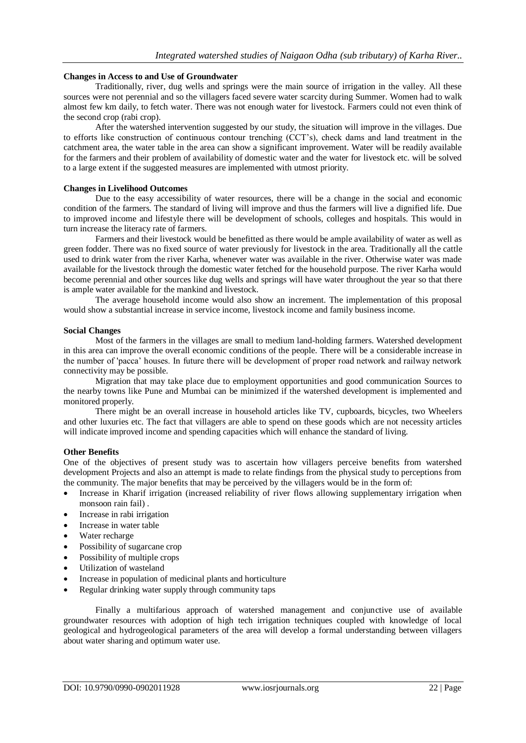#### **Changes in Access to and Use of Groundwater**

Traditionally, river, dug wells and springs were the main source of irrigation in the valley. All these sources were not perennial and so the villagers faced severe water scarcity during Summer. Women had to walk almost few km daily, to fetch water. There was not enough water for livestock. Farmers could not even think of the second crop (rabi crop).

After the watershed intervention suggested by our study, the situation will improve in the villages. Due to efforts like construction of continuous contour trenching (CCT's), check dams and land treatment in the catchment area, the water table in the area can show a significant improvement. Water will be readily available for the farmers and their problem of availability of domestic water and the water for livestock etc. will be solved to a large extent if the suggested measures are implemented with utmost priority.

#### **Changes in Livelihood Outcomes**

Due to the easy accessibility of water resources, there will be a change in the social and economic condition of the farmers. The standard of living will improve and thus the farmers will live a dignified life. Due to improved income and lifestyle there will be development of schools, colleges and hospitals. This would in turn increase the literacy rate of farmers.

Farmers and their livestock would be benefitted as there would be ample availability of water as well as green fodder. There was no fixed source of water previously for livestock in the area. Traditionally all the cattle used to drink water from the river Karha, whenever water was available in the river. Otherwise water was made available for the livestock through the domestic water fetched for the household purpose. The river Karha would become perennial and other sources like dug wells and springs will have water throughout the year so that there is ample water available for the mankind and livestock.

The average household income would also show an increment. The implementation of this proposal would show a substantial increase in service income, livestock income and family business income.

#### **Social Changes**

Most of the farmers in the villages are small to medium land-holding farmers. Watershed development in this area can improve the overall economic conditions of the people. There will be a considerable increase in the number of 'pacca' houses. In future there will be development of proper road network and railway network connectivity may be possible.

Migration that may take place due to employment opportunities and good communication Sources to the nearby towns like Pune and Mumbai can be minimized if the watershed development is implemented and monitored properly.

There might be an overall increase in household articles like TV, cupboards, bicycles, two Wheelers and other luxuries etc. The fact that villagers are able to spend on these goods which are not necessity articles will indicate improved income and spending capacities which will enhance the standard of living.

#### **Other Benefits**

One of the objectives of present study was to ascertain how villagers perceive benefits from watershed development Projects and also an attempt is made to relate findings from the physical study to perceptions from the community. The major benefits that may be perceived by the villagers would be in the form of:

- Increase in Kharif irrigation (increased reliability of river flows allowing supplementary irrigation when monsoon rain fail) .
- Increase in rabi irrigation
- Increase in water table
- Water recharge
- Possibility of sugarcane crop
- Possibility of multiple crops
- Utilization of wasteland
- Increase in population of medicinal plants and horticulture
- Regular drinking water supply through community taps

Finally a multifarious approach of watershed management and conjunctive use of available groundwater resources with adoption of high tech irrigation techniques coupled with knowledge of local geological and hydrogeological parameters of the area will develop a formal understanding between villagers about water sharing and optimum water use.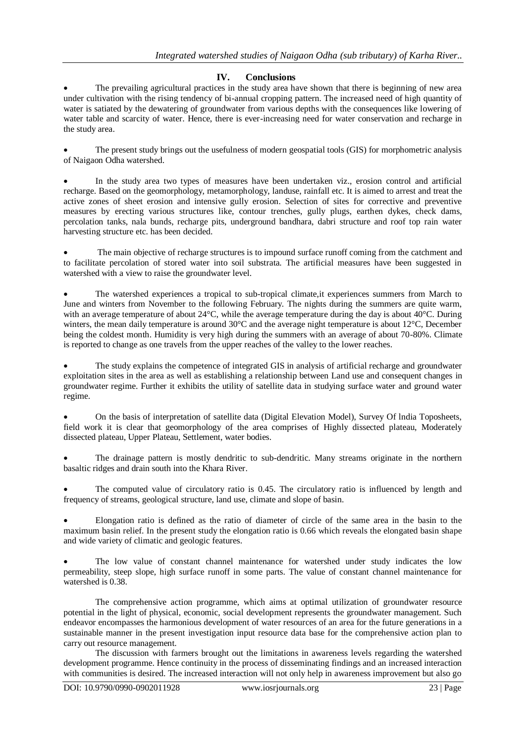## **IV. Conclusions**

 The prevailing agricultural practices in the study area have shown that there is beginning of new area under cultivation with the rising tendency of bi-annual cropping pattern. The increased need of high quantity of water is satiated by the dewatering of groundwater from various depths with the consequences like lowering of water table and scarcity of water. Hence, there is ever-increasing need for water conservation and recharge in the study area.

 The present study brings out the usefulness of modern geospatial tools (GIS) for morphometric analysis of Naigaon Odha watershed.

 In the study area two types of measures have been undertaken viz., erosion control and artificial recharge. Based on the geomorphology, metamorphology, landuse, rainfall etc. It is aimed to arrest and treat the active zones of sheet erosion and intensive gully erosion. Selection of sites for corrective and preventive measures by erecting various structures like, contour trenches, gully plugs, earthen dykes, check dams, percolation tanks, nala bunds, recharge pits, underground bandhara, dabri structure and roof top rain water harvesting structure etc. has been decided.

 The main objective of recharge structures is to impound surface runoff coming from the catchment and to facilitate percolation of stored water into soil substrata. The artificial measures have been suggested in watershed with a view to raise the groundwater level.

 The watershed experiences a tropical to sub-tropical climate,it experiences summers from March to June and winters from November to the following February. The nights during the summers are quite warm, with an average temperature of about 24°C, while the average temperature during the day is about 40°C. During winters, the mean daily temperature is around 30°C and the average night temperature is about 12°C, December being the coldest month. Humidity is very high during the summers with an average of about 70-80%. Climate is reported to change as one travels from the upper reaches of the valley to the lower reaches.

 The study explains the competence of integrated GIS in analysis of artificial recharge and groundwater exploitation sites in the area as well as establishing a relationship between Land use and consequent changes in groundwater regime. Further it exhibits the utility of satellite data in studying surface water and ground water regime.

 On the basis of interpretation of satellite data (Digital Elevation Model), Survey Of lndia Toposheets, field work it is clear that geomorphology of the area comprises of Highly dissected plateau, Moderately dissected plateau, Upper Plateau, Settlement, water bodies.

 The drainage pattern is mostly dendritic to sub-dendritic. Many streams originate in the northern basaltic ridges and drain south into the Khara River.

 The computed value of circulatory ratio is 0.45. The circulatory ratio is influenced by length and frequency of streams, geological structure, land use, climate and slope of basin.

 Elongation ratio is defined as the ratio of diameter of circle of the same area in the basin to the maximum basin relief. In the present study the elongation ratio is 0.66 which reveals the elongated basin shape and wide variety of climatic and geologic features.

 The low value of constant channel maintenance for watershed under study indicates the low permeability, steep slope, high surface runoff in some parts. The value of constant channel maintenance for watershed is 0.38.

The comprehensive action programme, which aims at optimal utilization of groundwater resource potential in the light of physical, economic, social development represents the groundwater management. Such endeavor encompasses the harmonious development of water resources of an area for the future generations in a sustainable manner in the present investigation input resource data base for the comprehensive action plan to carry out resource management.

The discussion with farmers brought out the limitations in awareness levels regarding the watershed development programme. Hence continuity in the process of disseminating findings and an increased interaction with communities is desired. The increased interaction will not only help in awareness improvement but also go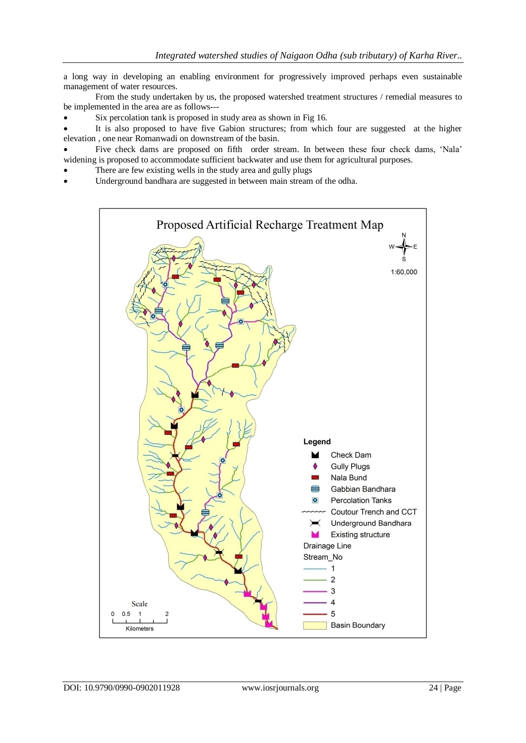a long way in developing an enabling environment for progressively improved perhaps even sustainable management of water resources.

From the study undertaken by us, the proposed watershed treatment structures / remedial measures to be implemented in the area are as follows---

Six percolation tank is proposed in study area as shown in Fig 16.

 It is also proposed to have five Gabion structures; from which four are suggested at the higher elevation , one near Romanwadi on downstream of the basin.

 Five check dams are proposed on fifth order stream. In between these four check dams, 'Nala' widening is proposed to accommodate sufficient backwater and use them for agricultural purposes.

- There are few existing wells in the study area and gully plugs
- Underground bandhara are suggested in between main stream of the odha.

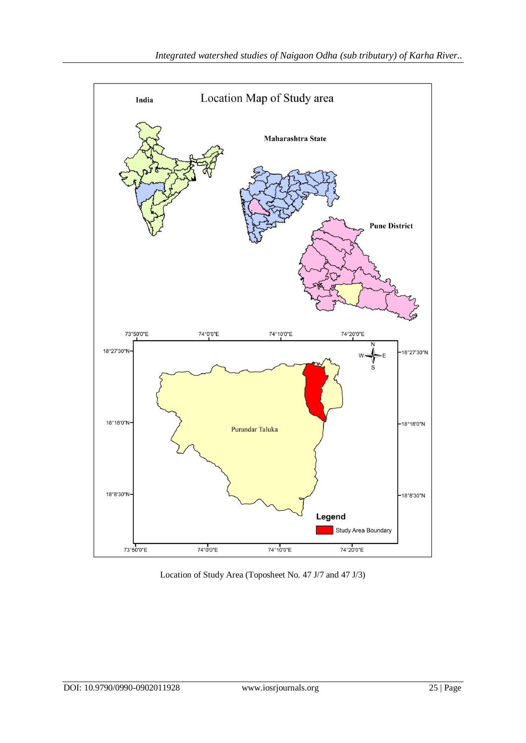

Location of Study Area (Toposheet No. 47 J/7 and 47 J/3)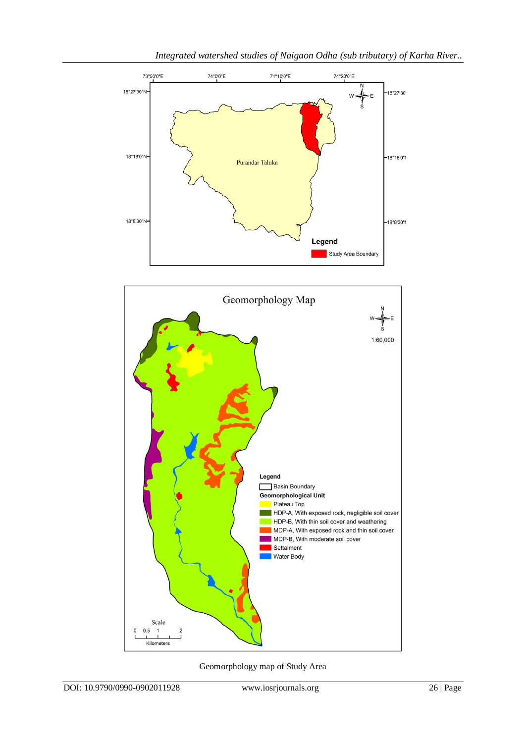



Geomorphology map of Study Area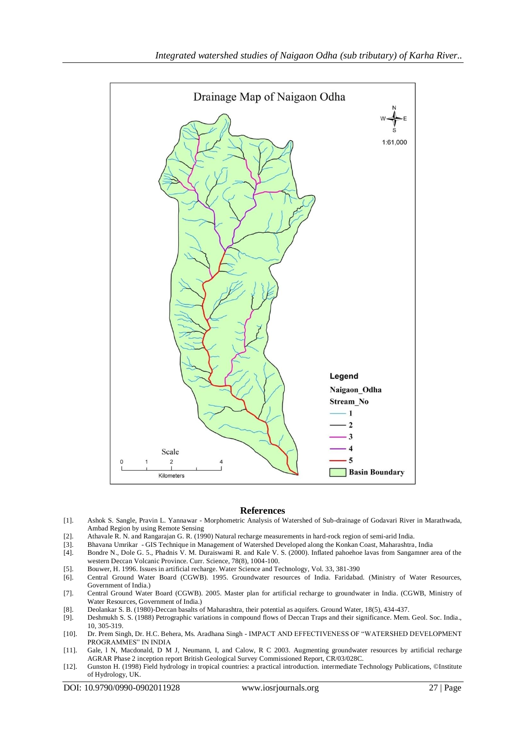

#### **References**

- [1]. Ashok S. Sangle, Pravin L. Yannawar Morphometric Analysis of Watershed of Sub-drainage of Godavari River in Marathwada, Ambad Region by using Remote Sensing
- [2]. Athavale R. N. and Rangarajan G. R. (1990) Natural recharge measurements in hard-rock region of semi-arid India.
- [3]. Bhavana Umrikar GIS Technique in Management of Watershed Developed along the Konkan Coast, Maharashtra, India
- [4]. Bondre N., Dole G. 5., Phadnis V. M. Duraiswami R. and Kale V. S. (2000). Inflated pahoehoe lavas from Sangamner area of the western Deccan Volcanic Province. Curr. Science, 78(8), 1004-100.
- [5]. Bouwer, H. 1996. Issues in artificial recharge. Water Science and Technology, Vol. 33, 381-390
- [6]. Central Ground Water Board (CGWB). 1995. Groundwater resources of India. Faridabad. (Ministry of Water Resources, Government of India.)
- [7]. Central Ground Water Board (CGWB). 2005. Master plan for artificial recharge to groundwater in India. (CGWB, Ministry of Water Resources, Government of India.)
- [8]. Deolankar S. B. (1980)-Deccan basalts of Maharashtra, their potential as aquifers. Ground Water, 18(5), 434-437.
- [9]. Deshmukh S. S. (1988) Petrographic variations in compound flows of Deccan Traps and their significance. Mem. Geol. Soc. India., 10, 305-319.
- [10]. Dr. Prem Singh, Dr. H.C. Behera, Ms. Aradhana Singh IMPACT AND EFFECTIVENESS OF "WATERSHED DEVELOPMENT PROGRAMMES" IN INDIA
- [11]. Gale, l N, Macdonald, D M J, Neumann, I, and Calow, R C 2003. Augmenting groundwater resources by artificial recharge AGRAR Phase 2 inception report British Geological Survey Commissioned Report, CR/03/028C.
- [12]. Gunston H. (1998) Field hydrology in tropical countries: a practical introduction. intermediate Technology Publications, ©Institute of Hydrology, UK.